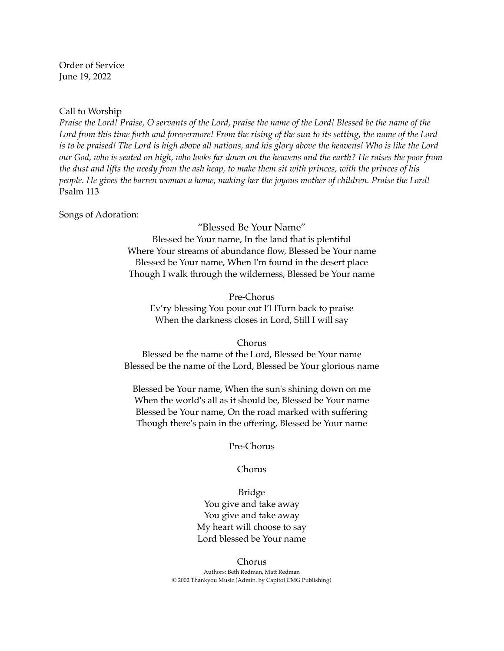Order of Service June 19, 2022

#### Call to Worship

*Praise the Lord! Praise, O servants of the Lord, praise the name of the Lord! Blessed be the name of the Lord from this time forth and forevermore! From the rising of the sun to its setting, the name of the Lord is to be praised! The Lord is high above all nations, and his glory above the heavens! Who is like the Lord our God, who is seated on high, who looks far down on the heavens and the earth? He raises the poor from the dust and lifts the needy from the ash heap, to make them sit with princes, with the princes of his people. He gives the barren woman a home, making her the joyous mother of children. Praise the Lord!*  Psalm 113

Songs of Adoration:

"Blessed Be Your Name"

Blessed be Your name, In the land that is plentiful Where Your streams of abundance flow, Blessed be Your name Blessed be Your name, When I'm found in the desert place Though I walk through the wilderness, Blessed be Your name

Pre-Chorus Ev'ry blessing You pour out I'l lTurn back to praise When the darkness closes in Lord, Still I will say

Chorus

Blessed be the name of the Lord, Blessed be Your name Blessed be the name of the Lord, Blessed be Your glorious name

Blessed be Your name, When the sun's shining down on me When the world's all as it should be, Blessed be Your name Blessed be Your name, On the road marked with suffering Though there's pain in the offering, Blessed be Your name

Pre-Chorus

## Chorus

Bridge You give and take away You give and take away My heart will choose to say Lord blessed be Your name

Chorus Authors: Beth Redman, Matt Redman © 2002 Thankyou Music (Admin. by Capitol CMG Publishing)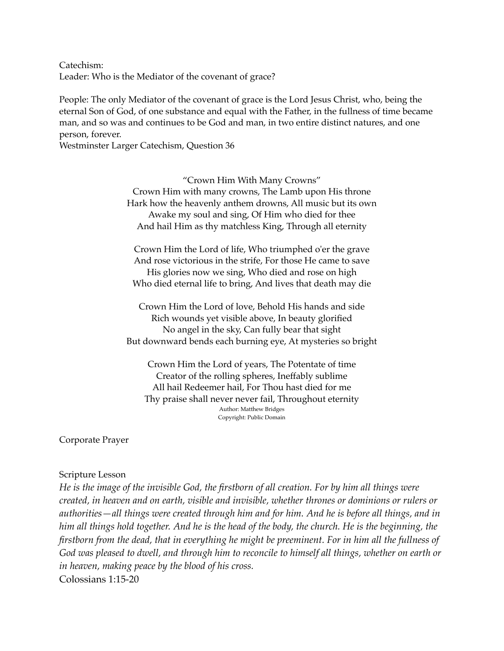Catechism: Leader: Who is the Mediator of the covenant of grace?

People: The only Mediator of the covenant of grace is the Lord Jesus Christ, who, being the eternal Son of God, of one substance and equal with the Father, in the fullness of time became man, and so was and continues to be God and man, in two entire distinct natures, and one person, forever.

Westminster Larger Catechism, Question 36

"Crown Him With Many Crowns" Crown Him with many crowns, The Lamb upon His throne Hark how the heavenly anthem drowns, All music but its own Awake my soul and sing, Of Him who died for thee And hail Him as thy matchless King, Through all eternity

Crown Him the Lord of life, Who triumphed o'er the grave And rose victorious in the strife, For those He came to save His glories now we sing, Who died and rose on high Who died eternal life to bring, And lives that death may die

Crown Him the Lord of love, Behold His hands and side Rich wounds yet visible above, In beauty glorified No angel in the sky, Can fully bear that sight But downward bends each burning eye, At mysteries so bright

Crown Him the Lord of years, The Potentate of time Creator of the rolling spheres, Ineffably sublime All hail Redeemer hail, For Thou hast died for me Thy praise shall never never fail, Throughout eternity Author: Matthew Bridges Copyright: Public Domain

Corporate Prayer

## Scripture Lesson

*He is the image of the invisible God, the firstborn of all creation. For by him all things were created, in heaven and on earth, visible and invisible, whether thrones or dominions or rulers or authorities—all things were created through him and for him. And he is before all things, and in him all things hold together. And he is the head of the body, the church. He is the beginning, the firstborn from the dead, that in everything he might be preeminent. For in him all the fullness of God was pleased to dwell, and through him to reconcile to himself all things, whether on earth or in heaven, making peace by the blood of his cross.*  Colossians 1:15-20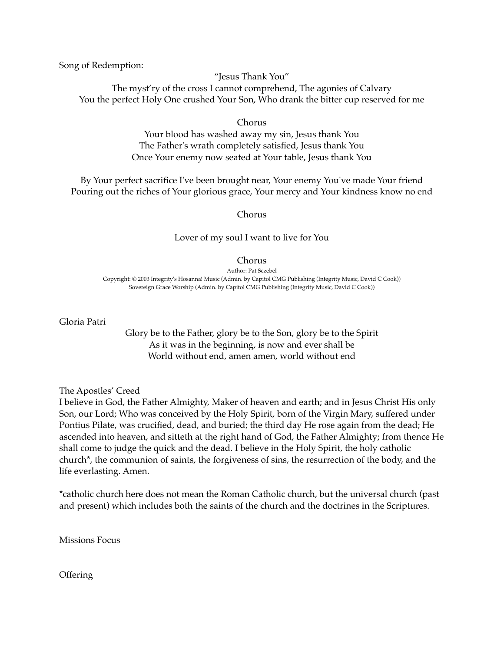Song of Redemption:

### "Jesus Thank You"

The myst'ry of the cross I cannot comprehend, The agonies of Calvary You the perfect Holy One crushed Your Son, Who drank the bitter cup reserved for me

## Chorus

Your blood has washed away my sin, Jesus thank You The Father's wrath completely satisfied, Jesus thank You Once Your enemy now seated at Your table, Jesus thank You

By Your perfect sacrifice I've been brought near, Your enemy You've made Your friend Pouring out the riches of Your glorious grace, Your mercy and Your kindness know no end

#### Chorus

#### Lover of my soul I want to live for You

#### Chorus

Author: Pat Sczebel Copyright: © 2003 Integrity's Hosanna! Music (Admin. by Capitol CMG Publishing (Integrity Music, David C Cook)) Sovereign Grace Worship (Admin. by Capitol CMG Publishing (Integrity Music, David C Cook))

Gloria Patri

Glory be to the Father, glory be to the Son, glory be to the Spirit As it was in the beginning, is now and ever shall be World without end, amen amen, world without end

The Apostles' Creed

I believe in God, the Father Almighty, Maker of heaven and earth; and in Jesus Christ His only Son, our Lord; Who was conceived by the Holy Spirit, born of the Virgin Mary, suffered under Pontius Pilate, was crucified, dead, and buried; the third day He rose again from the dead; He ascended into heaven, and sitteth at the right hand of God, the Father Almighty; from thence He shall come to judge the quick and the dead. I believe in the Holy Spirit, the holy catholic church\*, the communion of saints, the forgiveness of sins, the resurrection of the body, and the life everlasting. Amen.

\*catholic church here does not mean the Roman Catholic church, but the universal church (past and present) which includes both the saints of the church and the doctrines in the Scriptures.

Missions Focus

**Offering**